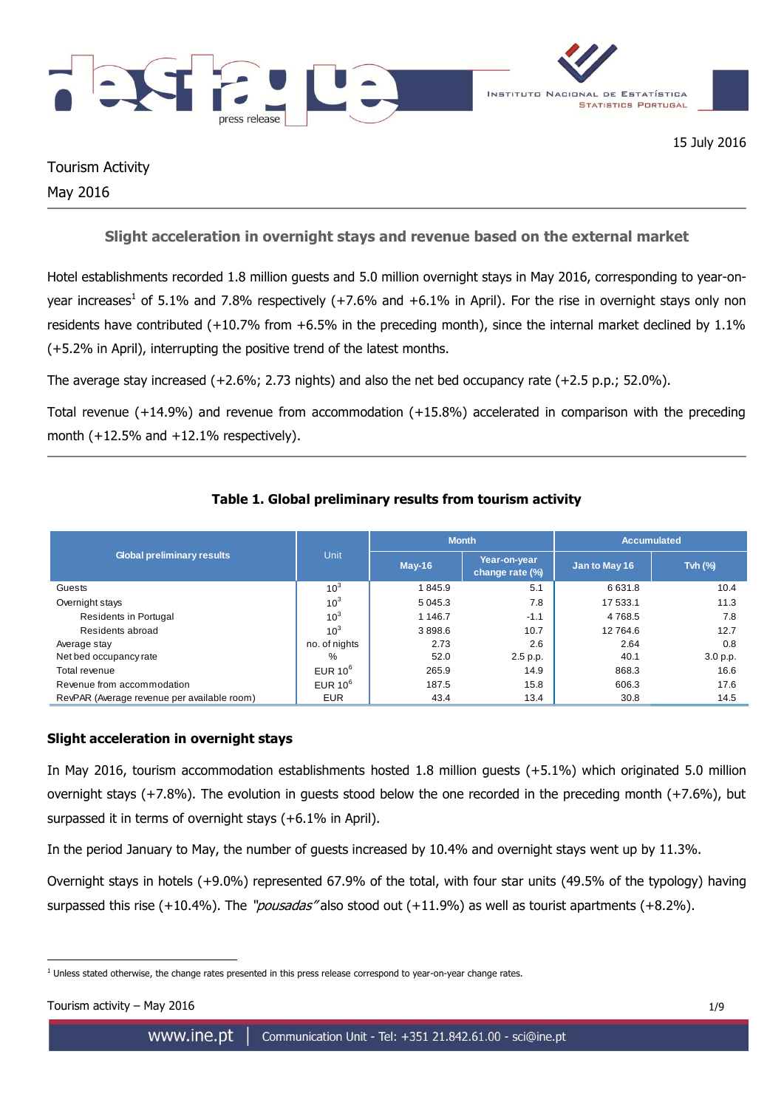



Tourism Activity May 2016

# **Slight acceleration in overnight stays and revenue based on the external market**

Hotel establishments recorded 1.8 million guests and 5.0 million overnight stays in May 2016, corresponding to year-onyear increases<sup>1</sup> of 5.1% and 7.8% respectively (+7.6% and +6.1% in April). For the rise in overnight stays only non residents have contributed (+10.7% from +6.5% in the preceding month), since the internal market declined by 1.1% (+5.2% in April), interrupting the positive trend of the latest months.

The average stay increased (+2.6%; 2.73 nights) and also the net bed occupancy rate (+2.5 p.p.; 52.0%).

Total revenue (+14.9%) and revenue from accommodation (+15.8%) accelerated in comparison with the preceding month  $(+12.5\%$  and  $+12.1\%$  respectively).

|                                             |                 |            | <b>Month</b>                    |               | <b>Accumulated</b> |
|---------------------------------------------|-----------------|------------|---------------------------------|---------------|--------------------|
| <b>Global preliminary results</b>           | Unit            | $May-16$   | Year-on-year<br>change rate (%) | Jan to May 16 | Tvh $(%)$          |
| Guests                                      | 10 <sup>3</sup> | 1845.9     | 5.1                             | 6631.8        | 10.4               |
| Overnight stays                             | 10 <sup>3</sup> | 5 0 4 5 .3 | 7.8                             | 17 533.1      | 11.3               |
| Residents in Portugal                       | 10 <sup>3</sup> | 1 1 4 6 .7 | $-1.1$                          | 4768.5        | 7.8                |
| Residents abroad                            | 10 <sup>3</sup> | 3898.6     | 10.7                            | 12764.6       | 12.7               |
| Average stay                                | no. of nights   | 2.73       | 2.6                             | 2.64          | 0.8                |
| Net bed occupancy rate                      | %               | 52.0       | 2.5 p.p.                        | 40.1          | 3.0 p.p.           |
| Total revenue                               | EUR $10^6$      | 265.9      | 14.9                            | 868.3         | 16.6               |
| Revenue from accommodation                  | EUR $10^6$      | 187.5      | 15.8                            | 606.3         | 17.6               |
| RevPAR (Average revenue per available room) | <b>EUR</b>      | 43.4       | 13.4                            | 30.8          | 14.5               |

# **Table 1. Global preliminary results from tourism activity**

## **Slight acceleration in overnight stays**

In May 2016, tourism accommodation establishments hosted 1.8 million guests (+5.1%) which originated 5.0 million overnight stays (+7.8%). The evolution in guests stood below the one recorded in the preceding month (+7.6%), but surpassed it in terms of overnight stays (+6.1% in April).

In the period January to May, the number of guests increased by 10.4% and overnight stays went up by 11.3%.

Overnight stays in hotels (+9.0%) represented 67.9% of the total, with four star units (49.5% of the typology) having surpassed this rise  $(+10.4\%)$ . The "*pousadas"* also stood out  $(+11.9\%)$  as well as tourist apartments  $(+8.2\%)$ .

<sup>&</sup>lt;u>.</u> <sup>1</sup> Unless stated otherwise, the change rates presented in this press release correspond to year-on-year change rates.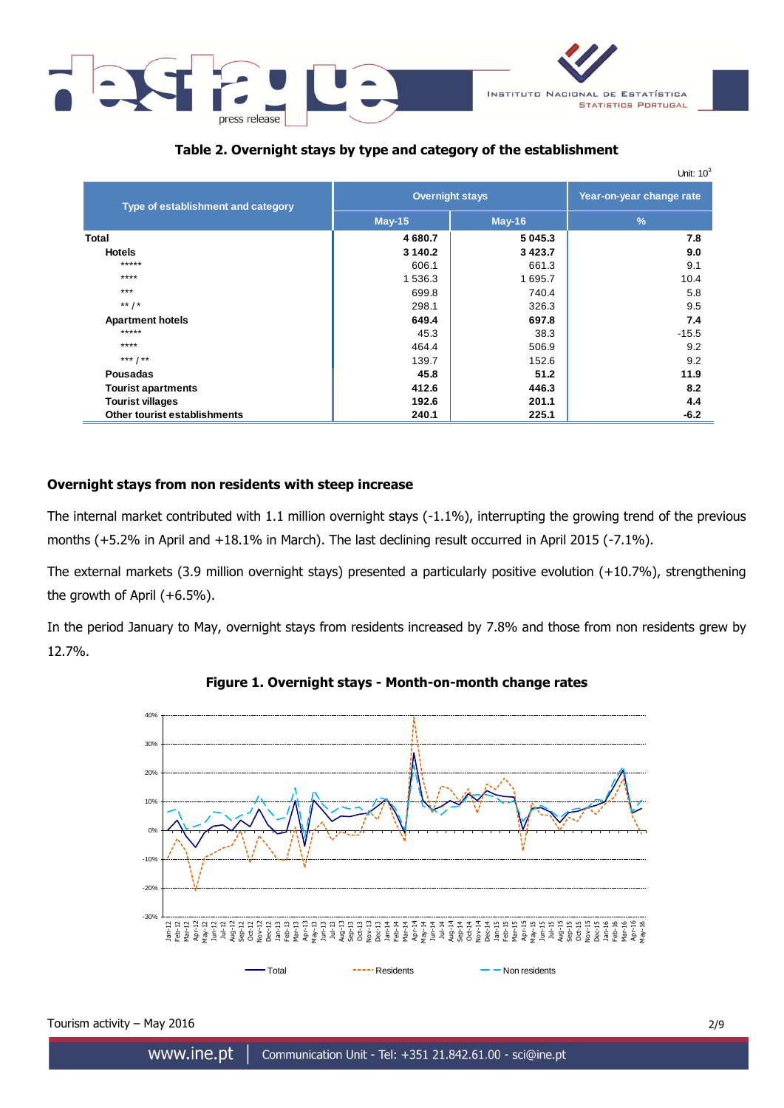



# **Table 2. Overnight stays by type and category of the establishment**

|                                    |                        |               | Unit: $103$              |
|------------------------------------|------------------------|---------------|--------------------------|
| Type of establishment and category | <b>Overnight stays</b> |               | Year-on-year change rate |
|                                    | $May-15$               | <b>May-16</b> | $\frac{9}{6}$            |
| <b>Total</b>                       | 4680.7                 | 5 0 4 5 .3    | 7.8                      |
| <b>Hotels</b>                      | 3 140.2                | 3423.7        | 9.0                      |
| *****                              | 606.1                  | 661.3         | 9.1                      |
| $***$                              | 1 536.3                | 1 695.7       | 10.4                     |
| $***$                              | 699.8                  | 740.4         | 5.8                      |
| $***$ / *                          | 298.1                  | 326.3         | 9.5                      |
| <b>Apartment hotels</b>            | 649.4                  | 697.8         | 7.4                      |
| *****                              | 45.3                   | 38.3          | $-15.5$                  |
| $***$                              | 464.4                  | 506.9         | 9.2                      |
| *** / **                           | 139.7                  | 152.6         | 9.2                      |
| <b>Pousadas</b>                    | 45.8                   | 51.2          | 11.9                     |
| <b>Tourist apartments</b>          | 412.6                  | 446.3         | 8.2                      |
| <b>Tourist villages</b>            | 192.6                  | 201.1         | 4.4                      |
| Other tourist establishments       | 240.1                  | 225.1         | $-6.2$                   |

## **Overnight stays from non residents with steep increase**

The internal market contributed with 1.1 million overnight stays (-1.1%), interrupting the growing trend of the previous months (+5.2% in April and +18.1% in March). The last declining result occurred in April 2015 (-7.1%).

The external markets (3.9 million overnight stays) presented a particularly positive evolution (+10.7%), strengthening the growth of April (+6.5%).

In the period January to May, overnight stays from residents increased by 7.8% and those from non residents grew by 12.7%.



**Figure 1. Overnight stays - Month-on-month change rates**

Tourism activity – May 2016 2/9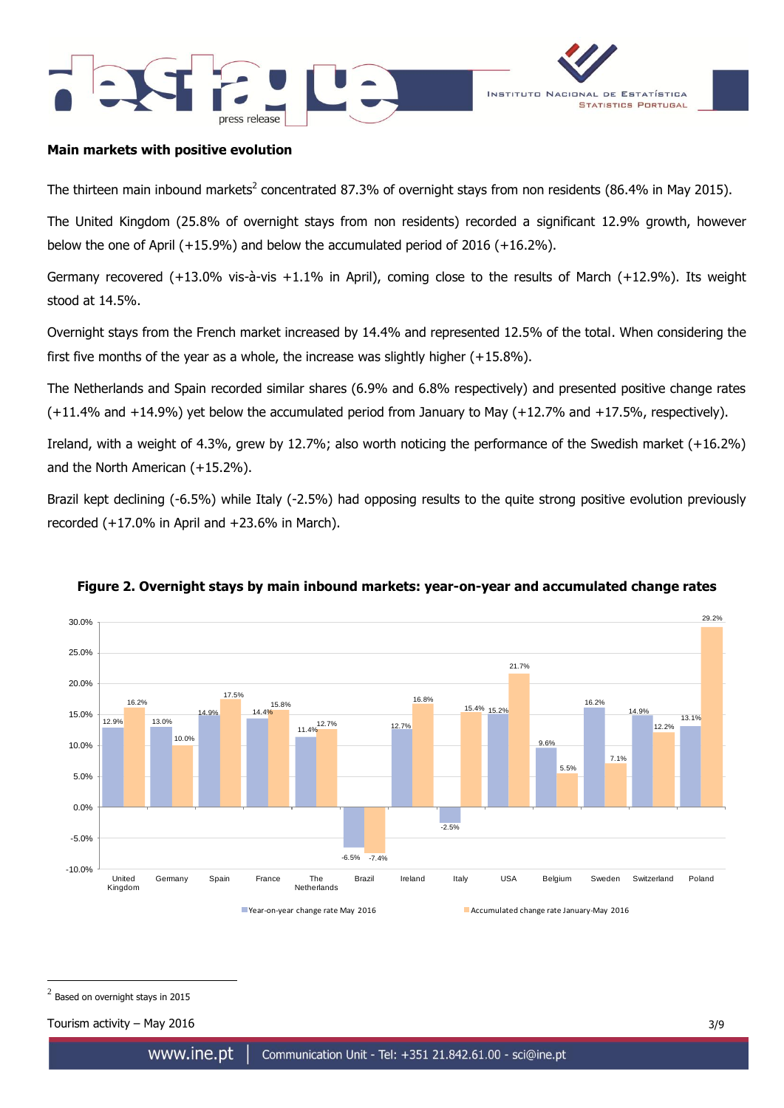



### **Main markets with positive evolution**

The thirteen main inbound markets<sup>2</sup> concentrated 87.3% of overnight stays from non residents (86.4% in May 2015).

The United Kingdom (25.8% of overnight stays from non residents) recorded a significant 12.9% growth, however below the one of April (+15.9%) and below the accumulated period of 2016 (+16.2%).

Germany recovered (+13.0% vis-à-vis +1.1% in April), coming close to the results of March (+12.9%). Its weight stood at 14.5%.

Overnight stays from the French market increased by 14.4% and represented 12.5% of the total. When considering the first five months of the year as a whole, the increase was slightly higher (+15.8%).

The Netherlands and Spain recorded similar shares (6.9% and 6.8% respectively) and presented positive change rates (+11.4% and +14.9%) yet below the accumulated period from January to May (+12.7% and +17.5%, respectively).

Ireland, with a weight of 4.3%, grew by 12.7%; also worth noticing the performance of the Swedish market (+16.2%) and the North American (+15.2%).

Brazil kept declining (-6.5%) while Italy (-2.5%) had opposing results to the quite strong positive evolution previously recorded  $(+17.0\%$  in April and  $+23.6\%$  in March).



### **Figure 2. Overnight stays by main inbound markets: year-on-year and accumulated change rates**

<u>.</u>

Tourism activity – May 2016 3/9

 $^2$  Based on overnight stays in 2015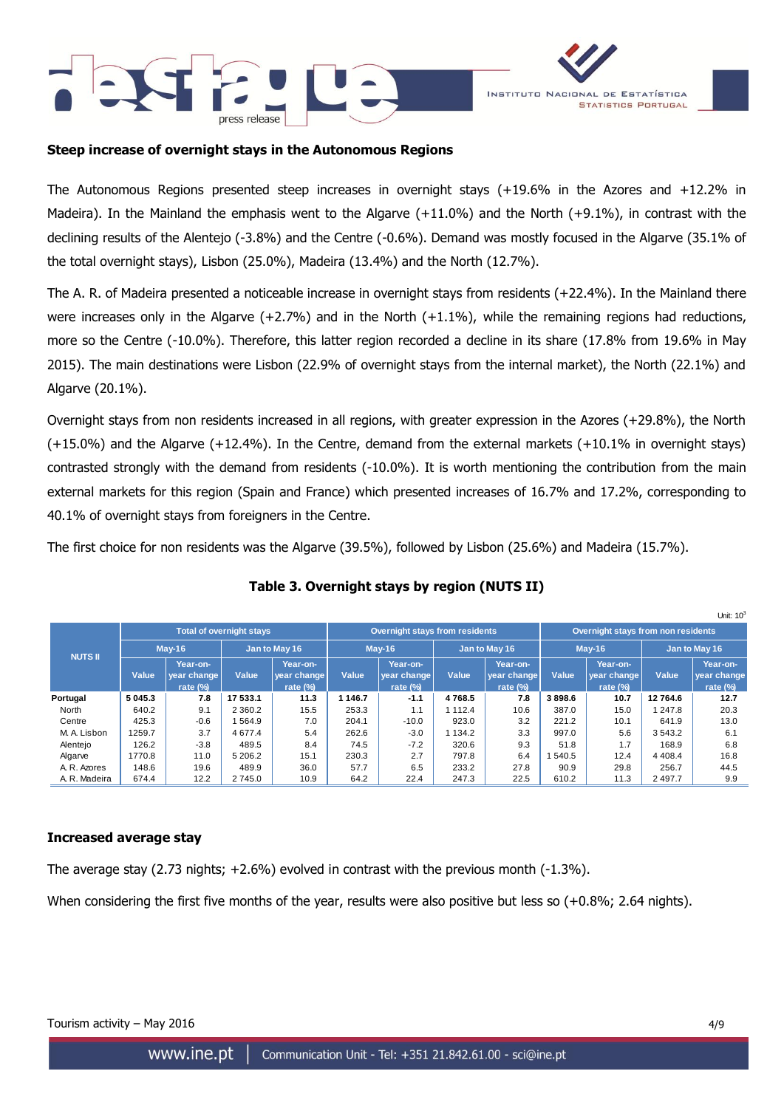



### **Steep increase of overnight stays in the Autonomous Regions**

The Autonomous Regions presented steep increases in overnight stays (+19.6% in the Azores and +12.2% in Madeira). In the Mainland the emphasis went to the Algarve (+11.0%) and the North (+9.1%), in contrast with the declining results of the Alentejo (-3.8%) and the Centre (-0.6%). Demand was mostly focused in the Algarve (35.1% of the total overnight stays), Lisbon (25.0%), Madeira (13.4%) and the North (12.7%).

The A. R. of Madeira presented a noticeable increase in overnight stays from residents (+22.4%). In the Mainland there were increases only in the Algarve  $(+2.7%)$  and in the North  $(+1.1%)$ , while the remaining regions had reductions, more so the Centre (-10.0%). Therefore, this latter region recorded a decline in its share (17.8% from 19.6% in May 2015). The main destinations were Lisbon (22.9% of overnight stays from the internal market), the North (22.1%) and Algarve (20.1%).

Overnight stays from non residents increased in all regions, with greater expression in the Azores (+29.8%), the North (+15.0%) and the Algarve (+12.4%). In the Centre, demand from the external markets (+10.1% in overnight stays) contrasted strongly with the demand from residents (-10.0%). It is worth mentioning the contribution from the main external markets for this region (Spain and France) which presented increases of 16.7% and 17.2%, corresponding to 40.1% of overnight stays from foreigners in the Centre.

The first choice for non residents was the Algarve (39.5%), followed by Lisbon (25.6%) and Madeira (15.7%).

|                |         |                                                                   |               |                    |           |                           |        |             |        |                                    |           | Unit: $10^3$ |
|----------------|---------|-------------------------------------------------------------------|---------------|--------------------|-----------|---------------------------|--------|-------------|--------|------------------------------------|-----------|--------------|
|                |         | Overnight stays from residents<br><b>Total of overnight stays</b> |               |                    |           |                           |        |             |        | Overnight stays from non residents |           |              |
| <b>NUTS II</b> |         | $May-16$                                                          | Jan to May 16 |                    |           | Jan to May 16<br>$May-16$ |        | $May-16$    |        | Jan to May 16                      |           |              |
|                |         | Year-on-                                                          |               | Year-on-           |           | Year-on-                  |        | Year-on-    |        | Year-on-                           |           | Year-on-     |
|                | Value   | vear change                                                       | Value         | <b>vear change</b> | Value     | year change               | Value  | year change | Value  | year change                        | Value     | year change  |
|                |         | rate $(\%)$                                                       |               | rate $(\%)$        |           | rate $(\%)$               |        | rate $(\%)$ |        | rate $(\%)$                        |           | rate $(\%)$  |
| Portugal       | 5 045.3 | 7.8                                                               | 17 533.1      | 11.3               | 1 1 4 6.7 | $-1.1$                    | 4768.5 | 7.8         | 3898.6 | 10.7                               | 12 764.6  | 12.7         |
| North          | 640.2   | 9.1                                                               | 2 3 6 0.2     | 15.5               | 253.3     | 1.1                       | 1112.4 | 10.6        | 387.0  | 15.0                               | 1 247.8   | 20.3         |
| Centre         | 425.3   | $-0.6$                                                            | 564.9         | 7.0                | 204.1     | $-10.0$                   | 923.0  | 3.2         | 221.2  | 10.1                               | 641.9     | 13.0         |
| M. A. Lisbon   | 1259.7  | 3.7                                                               | 4 677.4       | 5.4                | 262.6     | $-3.0$                    | 134.2  | 3.3         | 997.0  | 5.6                                | 3543.2    | 6.1          |
| Alentejo       | 126.2   | $-3.8$                                                            | 489.5         | 8.4                | 74.5      | $-7.2$                    | 320.6  | 9.3         | 51.8   | 1.7                                | 168.9     | 6.8          |
| Algarve        | 1770.8  | 11.0                                                              | 5 206.2       | 15.1               | 230.3     | 2.7                       | 797.8  | 6.4         | 540.5  | 12.4                               | 4 4 0 8.4 | 16.8         |
| A. R. Azores   | 148.6   | 19.6                                                              | 489.9         | 36.0               | 57.7      | 6.5                       | 233.2  | 27.8        | 90.9   | 29.8                               | 256.7     | 44.5         |
| A.R. Madeira   | 674.4   | 12.2                                                              | 2745.0        | 10.9               | 64.2      | 22.4                      | 247.3  | 22.5        | 610.2  | 11.3                               | 2 4 9 7.7 | 9.9          |

# **Table 3. Overnight stays by region (NUTS II)**

### **Increased average stay**

The average stay (2.73 nights; +2.6%) evolved in contrast with the previous month (-1.3%).

When considering the first five months of the year, results were also positive but less so (+0.8%; 2.64 nights).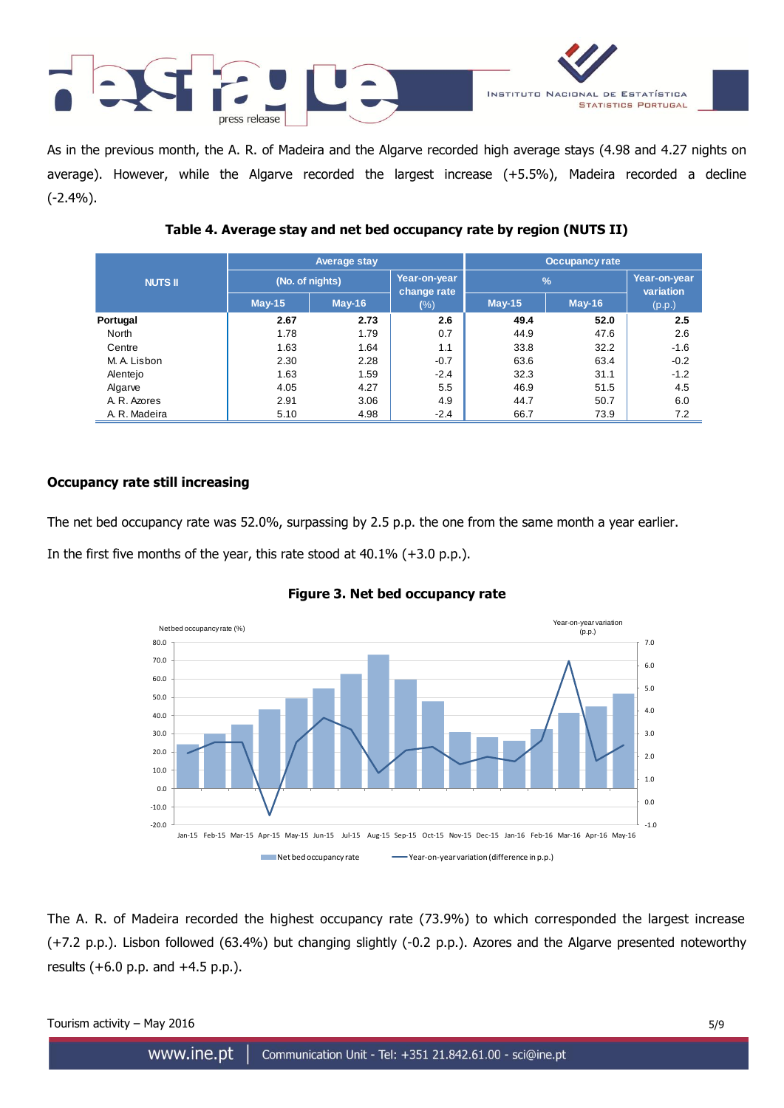



As in the previous month, the A. R. of Madeira and the Algarve recorded high average stays (4.98 and 4.27 nights on average). However, while the Algarve recorded the largest increase (+5.5%), Madeira recorded a decline (-2.4%).

|                |                      | Occupancy rate |                    |               |                                     |        |          |
|----------------|----------------------|----------------|--------------------|---------------|-------------------------------------|--------|----------|
| <b>NUTS II</b> | (No. of nights)      |                | Year-on-year       | $\frac{9}{6}$ | Year-on-year<br>variation<br>(p.p.) |        |          |
|                | $May-16$<br>$May-15$ |                | change rate<br>(%) | $May-15$      |                                     |        | $May-16$ |
| Portugal       | 2.67                 | 2.73           | 2.6                | 49.4          | 52.0                                | 2.5    |          |
| North          | 1.78                 | 1.79           | 0.7                | 44.9          | 47.6                                | 2.6    |          |
| Centre         | 1.63                 | 1.64           | 1.1                | 33.8          | 32.2                                | $-1.6$ |          |
| M. A. Lisbon   | 2.30                 | 2.28           | $-0.7$             | 63.6          | 63.4                                | $-0.2$ |          |
| Alentejo       | 1.63                 | 1.59           | $-2.4$             | 32.3          | 31.1                                | $-1.2$ |          |
| Algarve        | 4.05                 | 4.27           | 5.5                | 46.9          | 51.5                                | 4.5    |          |
| A. R. Azores   | 2.91                 | 3.06           | 4.9                | 44.7          | 50.7                                | 6.0    |          |
| A.R. Madeira   | 5.10                 | 4.98           | $-2.4$             | 66.7          | 73.9                                | 7.2    |          |

# **Table 4. Average stay and net bed occupancy rate by region (NUTS II)**

## **Occupancy rate still increasing**

The net bed occupancy rate was 52.0%, surpassing by 2.5 p.p. the one from the same month a year earlier.

In the first five months of the year, this rate stood at 40.1% (+3.0 p.p.).



### **Figure 3. Net bed occupancy rate**

The A. R. of Madeira recorded the highest occupancy rate (73.9%) to which corresponded the largest increase (+7.2 p.p.). Lisbon followed (63.4%) but changing slightly (-0.2 p.p.). Azores and the Algarve presented noteworthy results  $(+6.0 \, \text{p.p.}$  and  $+4.5 \, \text{p.p.}$ ).

| Tourism activity – May 2016 |                                                                       | 5/9 |
|-----------------------------|-----------------------------------------------------------------------|-----|
|                             | WWW.INE.pt   Communication Unit - Tel: +351 21.842.61.00 - sci@ine.pt |     |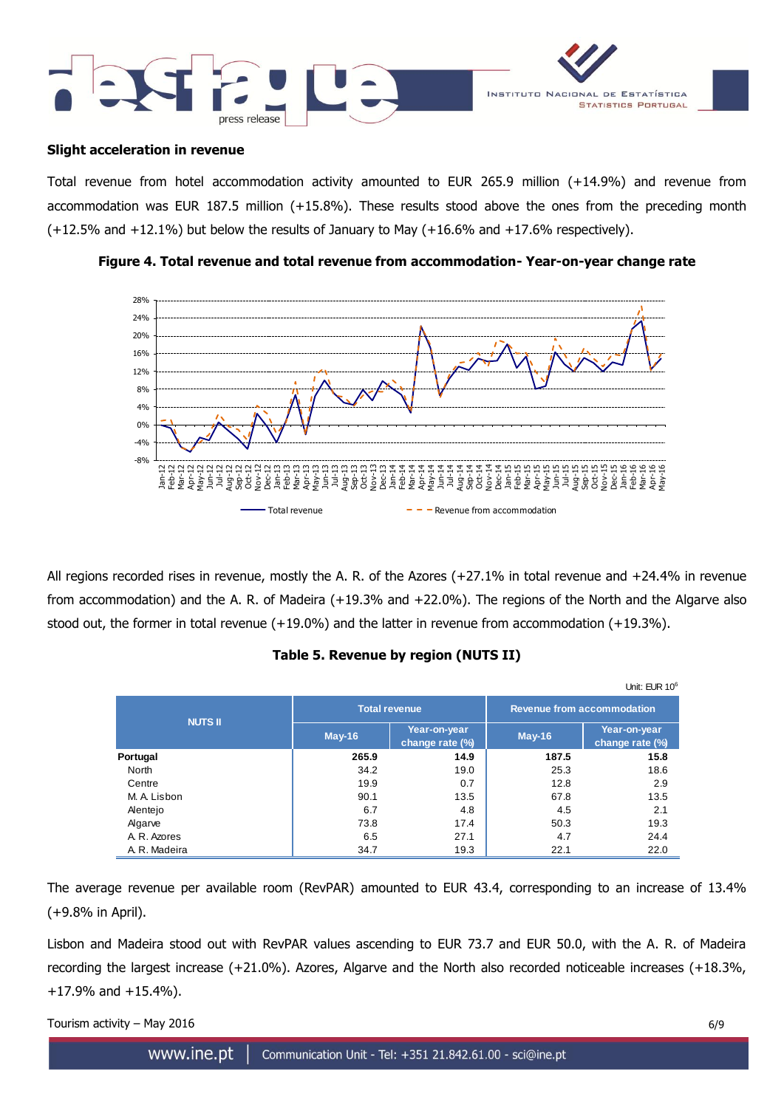



### **Slight acceleration in revenue**

Total revenue from hotel accommodation activity amounted to EUR 265.9 million (+14.9%) and revenue from accommodation was EUR 187.5 million (+15.8%). These results stood above the ones from the preceding month (+12.5% and +12.1%) but below the results of January to May (+16.6% and +17.6% respectively).



**Figure 4. Total revenue and total revenue from accommodation- Year-on-year change rate**

All regions recorded rises in revenue, mostly the A. R. of the Azores (+27.1% in total revenue and +24.4% in revenue from accommodation) and the A. R. of Madeira (+19.3% and +22.0%). The regions of the North and the Algarve also stood out, the former in total revenue  $(+19.0\%)$  and the latter in revenue from accommodation  $(+19.3\%)$ .

## **Table 5. Revenue by region (NUTS II)**

|                |          |                                 |                                   | Unit: EUR 10 <sup>6</sup>       |  |  |
|----------------|----------|---------------------------------|-----------------------------------|---------------------------------|--|--|
|                |          | <b>Total revenue</b>            | <b>Revenue from accommodation</b> |                                 |  |  |
| <b>NUTS II</b> | $May-16$ | Year-on-year<br>change rate (%) | $May-16$                          | Year-on-year<br>change rate (%) |  |  |
| Portugal       | 265.9    | 14.9                            | 187.5                             | 15.8                            |  |  |
| North          | 34.2     | 19.0                            | 25.3                              | 18.6                            |  |  |
| Centre         | 19.9     | 0.7                             | 12.8                              | 2.9                             |  |  |
| M. A. Lisbon   | 90.1     | 13.5                            | 67.8                              | 13.5                            |  |  |
| Alentejo       | 6.7      | 4.8                             | 4.5                               | 2.1                             |  |  |
| Algarve        | 73.8     | 17.4                            | 50.3                              | 19.3                            |  |  |
| A. R. Azores   | 6.5      | 27.1                            | 4.7                               | 24.4                            |  |  |
| A. R. Madeira  | 34.7     | 19.3                            | 22.1                              | 22.0                            |  |  |

The average revenue per available room (RevPAR) amounted to EUR 43.4, corresponding to an increase of 13.4% (+9.8% in April).

Lisbon and Madeira stood out with RevPAR values ascending to EUR 73.7 and EUR 50.0, with the A. R. of Madeira recording the largest increase (+21.0%). Azores, Algarve and the North also recorded noticeable increases (+18.3%, +17.9% and +15.4%).

Tourism activity – May 2016  $6/9$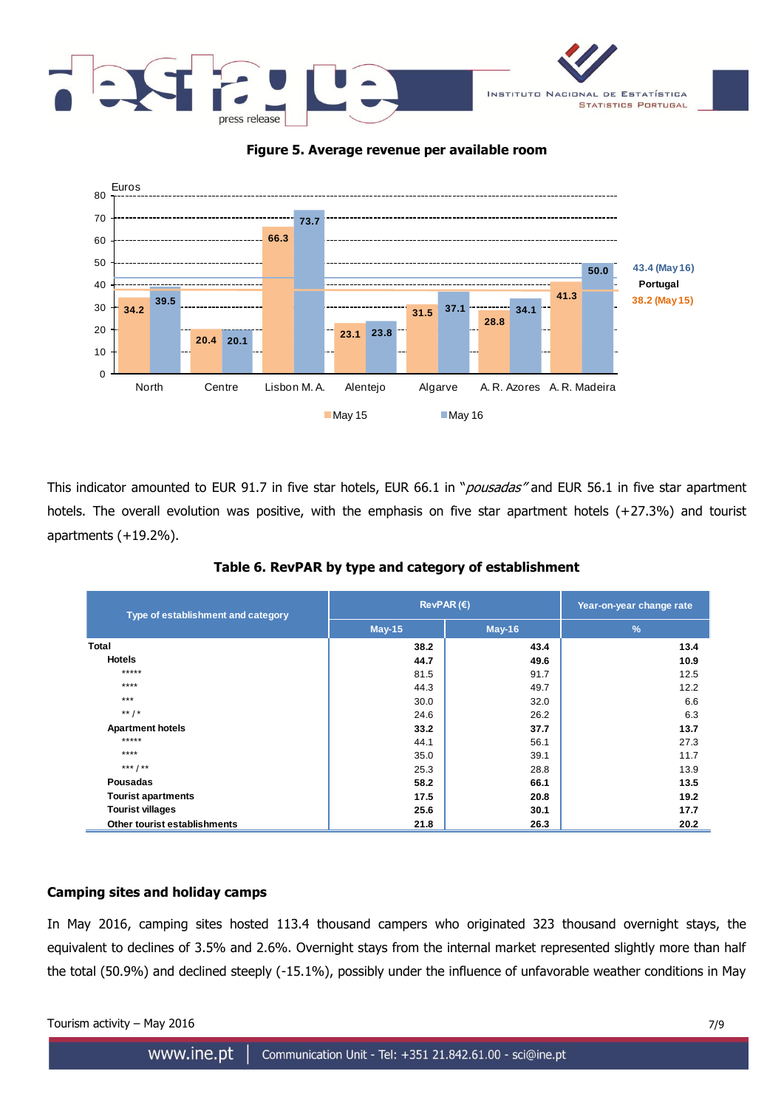

**Figure 5. Average revenue per available room**



This indicator amounted to EUR 91.7 in five star hotels, EUR 66.1 in "pousadas" and EUR 56.1 in five star apartment hotels. The overall evolution was positive, with the emphasis on five star apartment hotels (+27.3%) and tourist apartments (+19.2%).

| Type of establishment and category | RevPAR $(E)$  | Year-on-year change rate |               |  |
|------------------------------------|---------------|--------------------------|---------------|--|
|                                    | <b>May-15</b> | <b>May-16</b>            | $\frac{9}{6}$ |  |
| Total                              | 38.2          | 43.4                     | 13.4          |  |
| <b>Hotels</b>                      | 44.7          | 49.6                     | 10.9          |  |
| *****                              | 81.5          | 91.7                     | 12.5          |  |
| $****$                             | 44.3          | 49.7                     | 12.2          |  |
| $***$                              | 30.0          | 32.0                     | 6.6           |  |
| ** $/$ *                           | 24.6          | 26.2                     | 6.3           |  |
| <b>Apartment hotels</b>            | 33.2          | 37.7                     | 13.7          |  |
| $*****$                            | 44.1          | 56.1                     | 27.3          |  |
| $****$                             | 35.0          | 39.1                     | 11.7          |  |
| *** / **                           | 25.3          | 28.8                     | 13.9          |  |
| Pousadas                           | 58.2          | 66.1                     | 13.5          |  |
| <b>Tourist apartments</b>          | 17.5          | 20.8                     | 19.2          |  |
| <b>Tourist villages</b>            | 25.6          | 30.1                     | 17.7          |  |
| Other tourist establishments       | 21.8          | 26.3                     | 20.2          |  |

**Table 6. RevPAR by type and category of establishment**

## **Camping sites and holiday camps**

In May 2016, camping sites hosted 113.4 thousand campers who originated 323 thousand overnight stays, the equivalent to declines of 3.5% and 2.6%. Overnight stays from the internal market represented slightly more than half the total (50.9%) and declined steeply (-15.1%), possibly under the influence of unfavorable weather conditions in May

| Tourism activity - May 2016 | 7/S |
|-----------------------------|-----|
|-----------------------------|-----|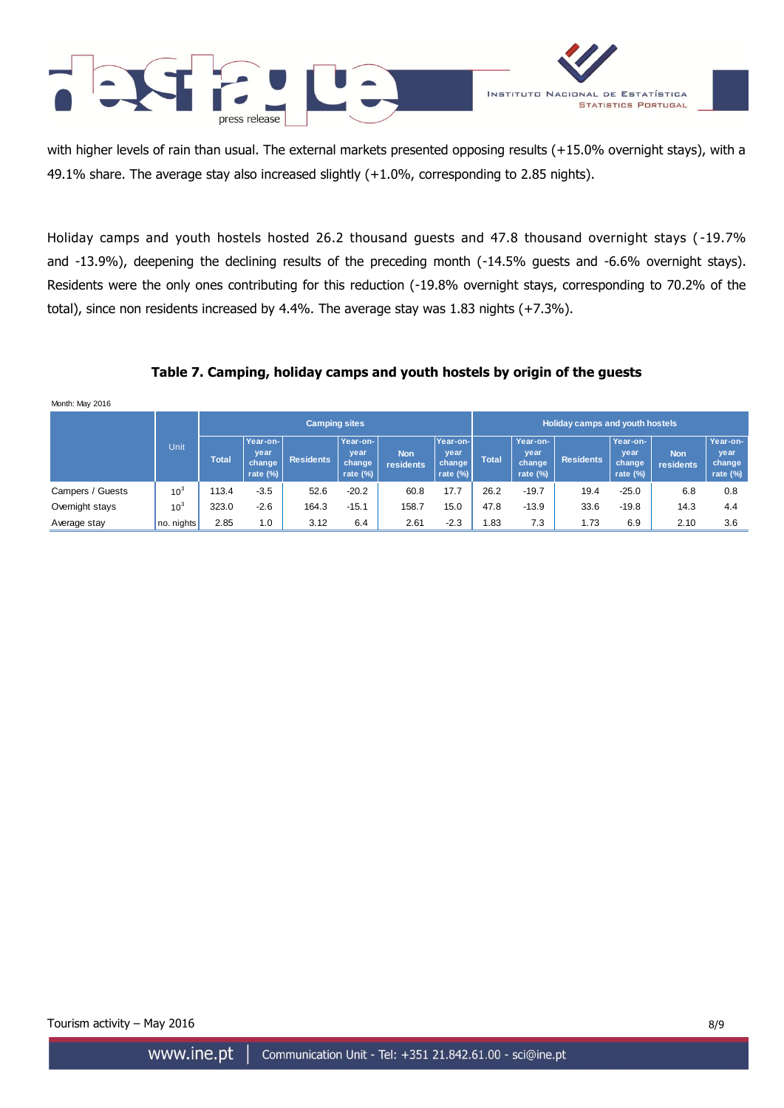



with higher levels of rain than usual. The external markets presented opposing results (+15.0% overnight stays), with a 49.1% share. The average stay also increased slightly (+1.0%, corresponding to 2.85 nights).

Holiday camps and youth hostels hosted 26.2 thousand guests and 47.8 thousand overnight stays (-19.7% and -13.9%), deepening the declining results of the preceding month (-14.5% guests and -6.6% overnight stays). Residents were the only ones contributing for this reduction (-19.8% overnight stays, corresponding to 70.2% of the total), since non residents increased by 4.4%. The average stay was 1.83 nights (+7.3%).

# **Table 7. Camping, holiday camps and youth hostels by origin of the guests**

| Month: May 2016  |                      |              |                                           |                  |                                           |                                |                                           |              |                                           |                  |                                           |                                |                                           |
|------------------|----------------------|--------------|-------------------------------------------|------------------|-------------------------------------------|--------------------------------|-------------------------------------------|--------------|-------------------------------------------|------------------|-------------------------------------------|--------------------------------|-------------------------------------------|
|                  | <b>Camping sites</b> |              |                                           |                  |                                           |                                | Holiday camps and youth hostels           |              |                                           |                  |                                           |                                |                                           |
|                  | Unit                 | <b>Total</b> | Year-on-<br>year<br>change<br>rate $(\%)$ | <b>Residents</b> | Year-on-<br>year<br>change<br>rate $(\%)$ | <b>Non</b><br><b>residents</b> | Year-on-<br>year<br>change<br>rate $(\%)$ | <b>Total</b> | Year-on-<br>year<br>change<br>rate $(\%)$ | <b>Residents</b> | Year-on-<br>year<br>change<br>rate $(\%)$ | <b>Non</b><br><b>residents</b> | Year-on-<br>year<br>change<br>rate $(\%)$ |
| Campers / Guests | 10 <sup>3</sup>      | 113.4        | $-3.5$                                    | 52.6             | $-20.2$                                   | 60.8                           | 17.7                                      | 26.2         | $-19.7$                                   | 19.4             | $-25.0$                                   | 6.8                            | 0.8                                       |
| Overnight stays  | 10 <sup>3</sup>      | 323.0        | $-2.6$                                    | 164.3            | $-15.1$                                   | 158.7                          | 15.0                                      | 47.8         | $-13.9$                                   | 33.6             | $-19.8$                                   | 14.3                           | 4.4                                       |
| Average stay     | no. nights           | 2.85         | 1.0                                       | 3.12             | 6.4                                       | 2.61                           | $-2.3$                                    | 1.83         | 7.3                                       | 1.73             | 6.9                                       | 2.10                           | 3.6                                       |

Tourism activity – May 2016  $8/9$